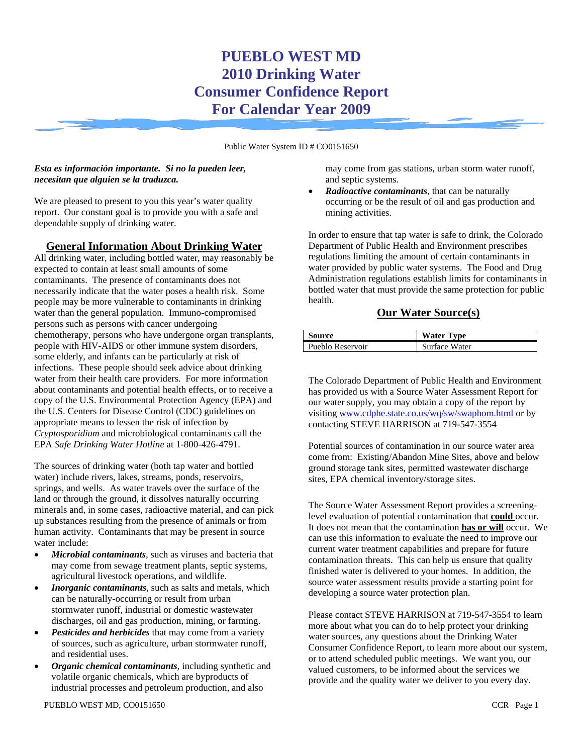# **PUEBLO WEST MD 2010 Drinking Water Consumer Confidence Report For Calendar Year 2009**

Public Water System ID # CO0151650

#### *Esta es información importante. Si no la pueden leer, necesitan que alguien se la traduzca.*

We are pleased to present to you this year's water quality report. Our constant goal is to provide you with a safe and dependable supply of drinking water.

### **General Information About Drinking Water**

All drinking water, including bottled water, may reasonably be expected to contain at least small amounts of some contaminants. The presence of contaminants does not necessarily indicate that the water poses a health risk. Some people may be more vulnerable to contaminants in drinking water than the general population. Immuno-compromised persons such as persons with cancer undergoing chemotherapy, persons who have undergone organ transplants, people with HIV-AIDS or other immune system disorders, some elderly, and infants can be particularly at risk of infections. These people should seek advice about drinking water from their health care providers. For more information about contaminants and potential health effects, or to receive a copy of the U.S. Environmental Protection Agency (EPA) and the U.S. Centers for Disease Control (CDC) guidelines on appropriate means to lessen the risk of infection by *Cryptosporidium* and microbiological contaminants call the EPA *Safe Drinking Water Hotline* at 1-800-426-4791.

The sources of drinking water (both tap water and bottled water) include rivers, lakes, streams, ponds, reservoirs, springs, and wells. As water travels over the surface of the land or through the ground, it dissolves naturally occurring minerals and, in some cases, radioactive material, and can pick up substances resulting from the presence of animals or from human activity. Contaminants that may be present in source water include:

- *Microbial contaminants,* such as viruses and bacteria that may come from sewage treatment plants, septic systems, agricultural livestock operations, and wildlife*.*
- *Inorganic contaminants*, such as salts and metals, which can be naturally-occurring or result from urban stormwater runoff, industrial or domestic wastewater discharges, oil and gas production, mining, or farming.
- **Pesticides and herbicides** that may come from a variety of sources, such as agriculture, urban stormwater runoff, and residential uses.
- *Organic chemical contaminants,* including synthetic and volatile organic chemicals, which are byproducts of industrial processes and petroleum production, and also

may come from gas stations, urban storm water runoff, and septic systems.

• *Radioactive contaminants,* that can be naturally occurring or be the result of oil and gas production and mining activities.

In order to ensure that tap water is safe to drink, the Colorado Department of Public Health and Environment prescribes regulations limiting the amount of certain contaminants in water provided by public water systems. The Food and Drug Administration regulations establish limits for contaminants in bottled water that must provide the same protection for public health.

### **Our Water Source(s)**

| Source           | <b>Water Type</b> |
|------------------|-------------------|
| Pueblo Reservoir | Surface Water     |

The Colorado Department of Public Health and Environment has provided us with a Source Water Assessment Report for our water supply, you may obtain a copy of the report by visiting www.cdphe.state.co.us/wq/sw/swaphom.html or by contacting STEVE HARRISON at 719-547-3554

Potential sources of contamination in our source water area come from: Existing/Abandon Mine Sites, above and below ground storage tank sites, permitted wastewater discharge sites, EPA chemical inventory/storage sites.

The Source Water Assessment Report provides a screeninglevel evaluation of potential contamination that **could** occur. It does not mean that the contamination **has or will** occur. We can use this information to evaluate the need to improve our current water treatment capabilities and prepare for future contamination threats. This can help us ensure that quality finished water is delivered to your homes. In addition, the source water assessment results provide a starting point for developing a source water protection plan.

Please contact STEVE HARRISON at 719-547-3554 to learn more about what you can do to help protect your drinking water sources, any questions about the Drinking Water Consumer Confidence Report, to learn more about our system, or to attend scheduled public meetings. We want you, our valued customers, to be informed about the services we provide and the quality water we deliver to you every day.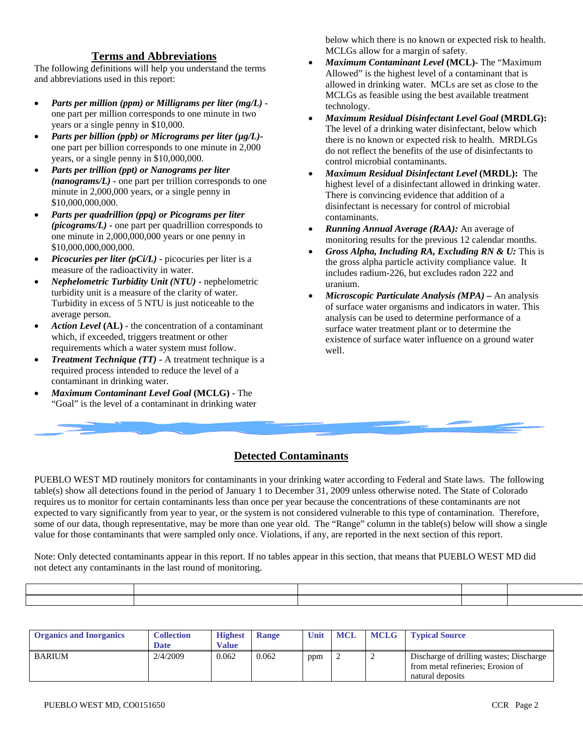#### **Terms and Abbreviations**

The following definitions will help you understand the terms and abbreviations used in this report:

- *Parts per million (ppm) or Milligrams per liter (mg/L)* one part per million corresponds to one minute in two years or a single penny in \$10,000.
- *Parts per billion (ppb) or Micrograms per liter (µg/L)* one part per billion corresponds to one minute in 2,000 years, or a single penny in \$10,000,000.
- *Parts per trillion (ppt) or Nanograms per liter (nanograms/L)* **-** one part per trillion corresponds to one minute in 2,000,000 years, or a single penny in \$10,000,000,000.
- *Parts per quadrillion (ppq) or Picograms per liter (picograms/L)* **-** one part per quadrillion corresponds to one minute in 2,000,000,000 years or one penny in \$10,000,000,000,000.
- *Picocuries per liter (pCi/L)* **-** picocuries per liter is a measure of the radioactivity in water.
- *Nephelometric Turbidity Unit (NTU)* **-** nephelometric turbidity unit is a measure of the clarity of water. Turbidity in excess of 5 NTU is just noticeable to the average person.
- *Action Level* **(AL) -** the concentration of a contaminant which, if exceeded, triggers treatment or other requirements which a water system must follow.
- *Treatment Technique (TT)* **-** A treatment technique is a required process intended to reduce the level of a contaminant in drinking water.
- *Maximum Contaminant Level Goal* **(MCLG) -** The "Goal" is the level of a contaminant in drinking water

below which there is no known or expected risk to health. MCLGs allow for a margin of safety.

- *Maximum Contaminant Level* **(MCL)-** The "Maximum Allowed" is the highest level of a contaminant that is allowed in drinking water. MCLs are set as close to the MCLGs as feasible using the best available treatment technology.
- *Maximum Residual Disinfectant Level Goal* **(MRDLG):** The level of a drinking water disinfectant, below which there is no known or expected risk to health. MRDLGs do not reflect the benefits of the use of disinfectants to control microbial contaminants.
- *Maximum Residual Disinfectant Level* **(MRDL):** The highest level of a disinfectant allowed in drinking water. There is convincing evidence that addition of a disinfectant is necessary for control of microbial contaminants.
- *Running Annual Average (RAA):* An average of monitoring results for the previous 12 calendar months.
- *Gross Alpha, Including RA, Excluding RN & U:* This is the gross alpha particle activity compliance value. It includes radium-226, but excludes radon 222 and uranium.
- *Microscopic Particulate Analysis (MPA) –* An analysis of surface water organisms and indicators in water. This analysis can be used to determine performance of a surface water treatment plant or to determine the existence of surface water influence on a ground water well.

## **Detected Contaminants**

PUEBLO WEST MD routinely monitors for contaminants in your drinking water according to Federal and State laws. The following table(s) show all detections found in the period of January 1 to December 31, 2009 unless otherwise noted. The State of Colorado requires us to monitor for certain contaminants less than once per year because the concentrations of these contaminants are not expected to vary significantly from year to year, or the system is not considered vulnerable to this type of contamination. Therefore, some of our data, though representative, may be more than one year old. The "Range" column in the table(s) below will show a single value for those contaminants that were sampled only once. Violations, if any, are reported in the next section of this report.

Note: Only detected contaminants appear in this report. If no tables appear in this section, that means that PUEBLO WEST MD did not detect any contaminants in the last round of monitoring.

| <b>Organics and Inorganics</b> | <b>Collection</b><br><b>Date</b> | <b>Highest</b><br>Value | <b>Range</b> | Unit | MCL | <b>MCLG</b> | <b>Typical Source</b>                                                                            |
|--------------------------------|----------------------------------|-------------------------|--------------|------|-----|-------------|--------------------------------------------------------------------------------------------------|
| <b>BARIUM</b>                  | 2/4/2009                         | 0.062                   | 0.062        | ppm  |     |             | Discharge of drilling wastes; Discharge<br>from metal refineries; Erosion of<br>natural deposits |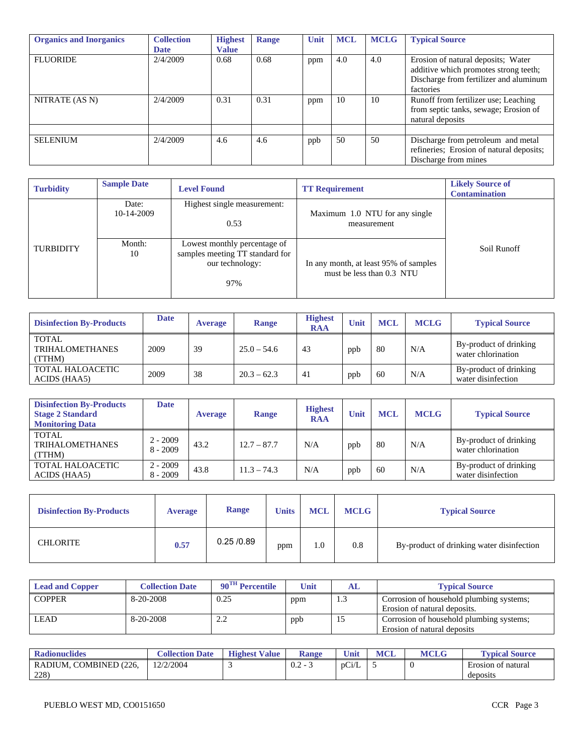| <b>Organics and Inorganics</b> | <b>Collection</b><br><b>Date</b> | <b>Highest</b><br><b>Value</b> | Range | Unit | <b>MCL</b> | <b>MCLG</b> | <b>Typical Source</b>                                                                                                              |
|--------------------------------|----------------------------------|--------------------------------|-------|------|------------|-------------|------------------------------------------------------------------------------------------------------------------------------------|
| <b>FLUORIDE</b>                | 2/4/2009                         | 0.68                           | 0.68  | ppm  | 4.0        | 4.0         | Erosion of natural deposits; Water<br>additive which promotes strong teeth;<br>Discharge from fertilizer and aluminum<br>factories |
| NITRATE (AS N)                 | 2/4/2009                         | 0.31                           | 0.31  | ppm  | 10         | 10          | Runoff from fertilizer use; Leaching<br>from septic tanks, sewage; Erosion of<br>natural deposits                                  |
| <b>SELENIUM</b>                | 2/4/2009                         | 4.6                            | 4.6   | ppb  | 50         | 50          | Discharge from petroleum and metal<br>refineries; Erosion of natural deposits;<br>Discharge from mines                             |

| <b>Turbidity</b> | <b>Sample Date</b>  | <b>Level Found</b>                                                                        | <b>TT Requirement</b>                                              | <b>Likely Source of</b><br><b>Contamination</b> |
|------------------|---------------------|-------------------------------------------------------------------------------------------|--------------------------------------------------------------------|-------------------------------------------------|
|                  | Date:<br>10-14-2009 | Highest single measurement:<br>0.53                                                       | Maximum 1.0 NTU for any single<br>measurement                      |                                                 |
| <b>TURBIDITY</b> | Month:<br>10        | Lowest monthly percentage of<br>samples meeting TT standard for<br>our technology:<br>97% | In any month, at least 95% of samples<br>must be less than 0.3 NTU | Soil Runoff                                     |

| <b>Disinfection By-Products</b>                  | <b>Date</b> | <b>Average</b> | <b>Range</b>  | <b>Highest</b><br><b>RAA</b> | Unit | <b>MCL</b> | <b>MCLG</b> | <b>Typical Source</b>                        |
|--------------------------------------------------|-------------|----------------|---------------|------------------------------|------|------------|-------------|----------------------------------------------|
| <b>TOTAL</b><br><b>TRIHALOMETHANES</b><br>(TTHM) | 2009        | 39             | $25.0 - 54.6$ | 43                           | ppb  | 80         | N/A         | By-product of drinking<br>water chlorination |
| TOTAL HALOACETIC<br>ACIDS (HAA5)                 | 2009        | 38             | $20.3 - 62.3$ | 41                           | ppb  | 60         | N/A         | By-product of drinking<br>water disinfection |

| <b>Disinfection By-Products</b><br><b>Stage 2 Standard</b><br><b>Monitoring Data</b> | Date                     | <b>Average</b> | <b>Range</b>  | <b>Highest</b><br><b>RAA</b> | Unit | <b>MCL</b> | <b>MCLG</b> | <b>Typical Source</b>                        |
|--------------------------------------------------------------------------------------|--------------------------|----------------|---------------|------------------------------|------|------------|-------------|----------------------------------------------|
| TOTAL<br><b>TRIHALOMETHANES</b><br>(TTHM)                                            | $2 - 2009$<br>$8 - 2009$ | 43.2           | $12.7 - 87.7$ | N/A                          | ppb  | 80         | N/A         | By-product of drinking<br>water chlorination |
| <b>TOTAL HALOACETIC</b><br>ACIDS (HAA5)                                              | $2 - 2009$<br>$8 - 2009$ | 43.8           | $11.3 - 74.3$ | N/A                          | ppb  | 60         | N/A         | By-product of drinking<br>water disinfection |

| <b>Disinfection By-Products</b> | <b>Average</b> | <b>Range</b> | <b>Units</b> | <b>MCL</b> | <b>MCLG</b> | <b>Typical Source</b>                     |
|---------------------------------|----------------|--------------|--------------|------------|-------------|-------------------------------------------|
| <b>CHLORITE</b>                 | 0.57           | 0.25/0.89    | ppm          | 1.0        | 0.8         | By-product of drinking water disinfection |

| <b>Lead and Copper</b> | <b>Collection Date</b> | $90^{\text{TH}}$ Percentile | Unit | AL. | <b>Typical Source</b>                                                    |
|------------------------|------------------------|-----------------------------|------|-----|--------------------------------------------------------------------------|
| <b>COPPER</b>          | 8-20-2008              | 0.25                        | ppm  | 1.3 | Corrosion of household plumbing systems;<br>Erosion of natural deposits. |
| <b>LEAD</b>            | 8-20-2008              | າາ<br>4.4                   | ppb  | 15  | Corrosion of household plumbing systems;<br>Erosion of natural deposits  |

| <b>Radionuclides</b>               | <b>Collection Date</b> | <b>Highest</b><br><b>Value</b> | <b>Range</b>                                          | Unit  | <b>MCL</b> | <b>MCLG</b> | <b>Typical Source</b>                            |
|------------------------------------|------------------------|--------------------------------|-------------------------------------------------------|-------|------------|-------------|--------------------------------------------------|
| , COMBINED (226,<br>RADIUM.<br>228 | 12/2/2004              |                                | $\cap$<br>$\overline{\phantom{0}}$<br>$\cup$ . $\sim$ | pCi/L |            | v           | $\blacksquare$<br>Erosion of natural<br>deposits |